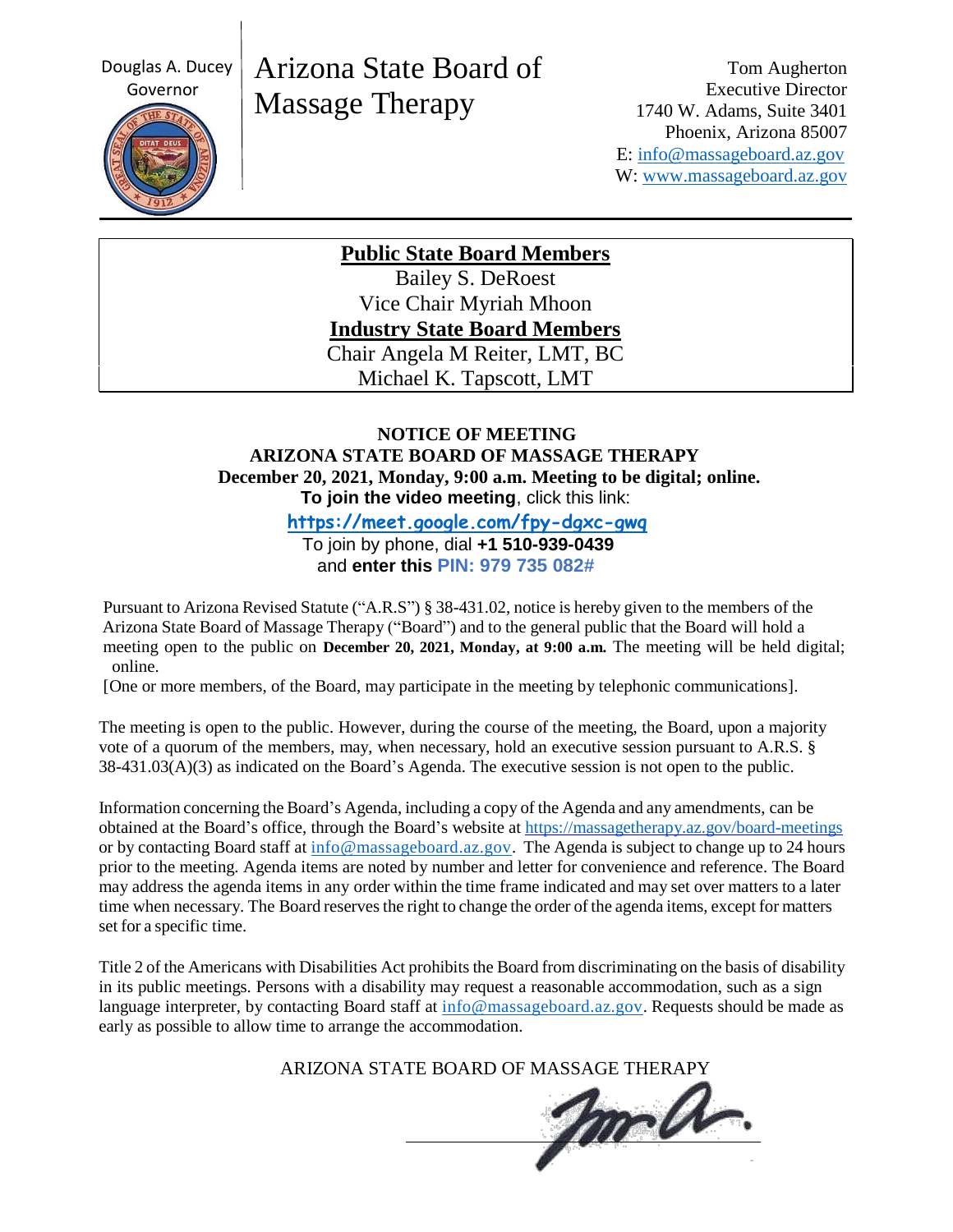Douglas A. Ducey



# Arizona State Board of Massage Therapy

Tom Augherton Executive Director 1740 W. Adams, Suite 3401 Phoenix, Arizona 85007 E: [info@massageboard.az.gov](mailto:info@massageboard.az.gov) W: [www.massageboard.az.gov](http://www.massageboard.az.gov/)

**Public State Board Members**

Bailey S. DeRoest Vice Chair Myriah Mhoon **Industry State Board Members** Chair Angela M Reiter, LMT, BC Michael K. Tapscott, LMT

### **NOTICE OF MEETING ARIZONA STATE BOARD OF MASSAGE THERAPY December 20, 2021, Monday, 9:00 a.m. Meeting to be digital; online. To join the video meeting**, click this link:

 **<https://meet.google.com/fpy-dgxc-gwq>**

 To join by phone, dial **+1 510-939-0439** and **enter this PIN: 979 735 082#**

Pursuant to Arizona Revised Statute ("A.R.S") § 38-431.02, notice is hereby given to the members of the Arizona State Board of Massage Therapy ("Board") and to the general public that the Board will hold a meeting open to the public on **December 20, 2021, Monday, at 9:00 a.m.** The meeting will be held digital; online.

[One or more members, of the Board, may participate in the meeting by telephonic communications].

The meeting is open to the public. However, during the course of the meeting, the Board, upon a majority vote of a quorum of the members, may, when necessary, hold an executive session pursuant to A.R.S. § 38-431.03(A)(3) as indicated on the Board's Agenda. The executive session is not open to the public.

Information concerning the Board's Agenda, including a copy of the Agenda and any amendments, can be obtained at the Board's office, through the Board's website at<https://massagetherapy.az.gov/board-meetings> or by contacting Board staff at  $\frac{info@massageboard.az.gov}$ . The Agenda is subject to change up to 24 hours prior to the meeting. Agenda items are noted by number and letter for convenience and reference. The Board may address the agenda items in any order within the time frame indicated and may set over matters to a later time when necessary. The Board reserves the right to change the order of the agenda items, except for matters set for a specific time.

Title 2 of the Americans with Disabilities Act prohibits the Board from discriminating on the basis of disability in its public meetings. Persons with a disability may request a reasonable accommodation, such as a sign language interpreter, by contacting Board staff at [info@massageboard.az.gov.](mailto:info@massageboard.az.gov) Requests should be made as early as possible to allow time to arrange the accommodation.

ARIZONA STATE BOARD OF MASSAGE THERAPY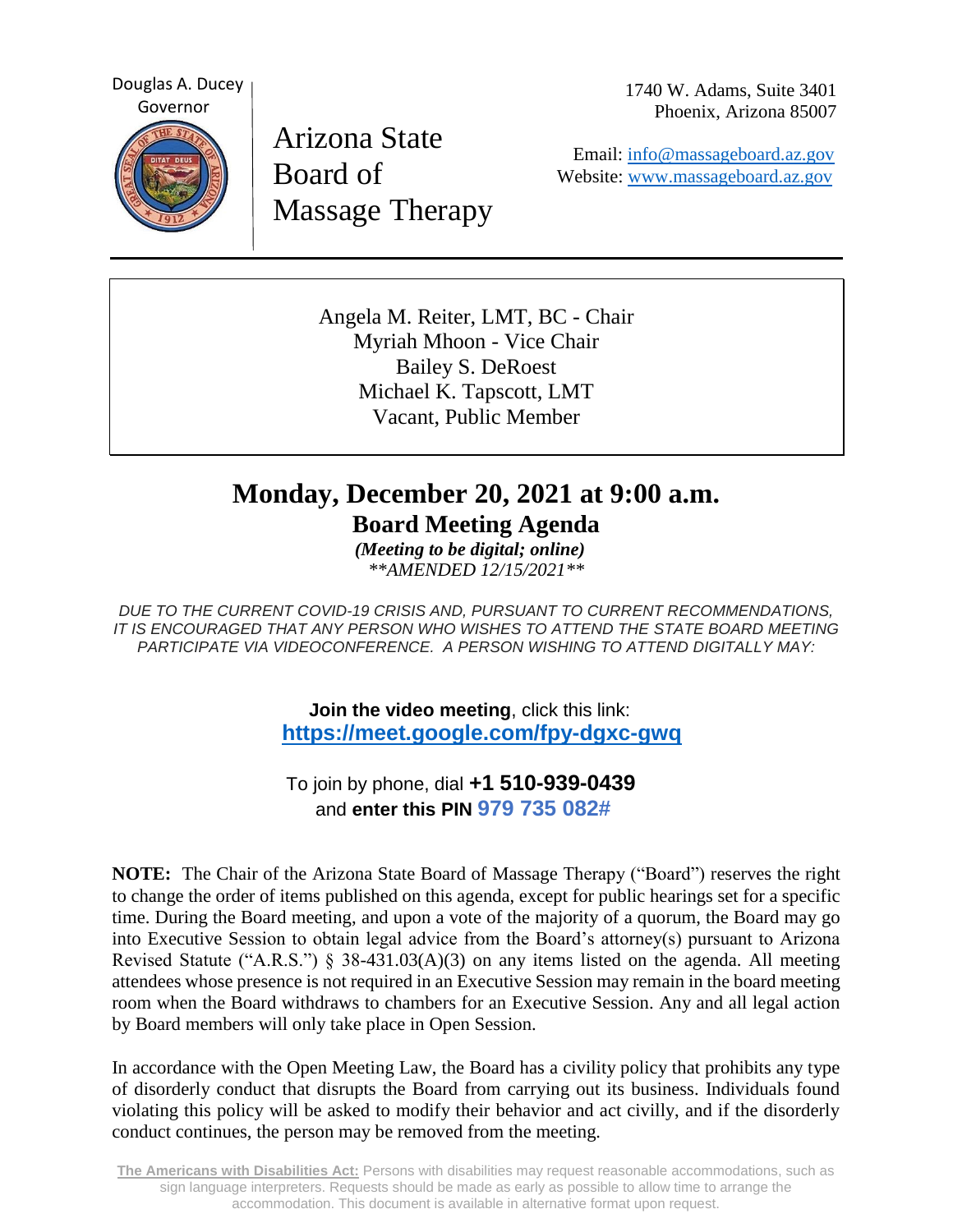Douglas A. Ducey Governor



Arizona State Board of Massage Therapy 1740 W. Adams, Suite 3401 Phoenix, Arizona 85007

 Email: [info@massageboard.az.gov](mailto:info@massageboard.az.gov) Website: [www.massageboard.az.gov](http://www.massageboard.az.gov/)

Angela M. Reiter, LMT, BC - Chair Myriah Mhoon - Vice Chair Bailey S. DeRoest Michael K. Tapscott, LMT Vacant, Public Member

## **Monday, December 20, 2021 at 9:00 a.m.**

**Board Meeting Agenda**

 *(Meeting to be digital; online) \*\*AMENDED 12/15/2021\*\**

*DUE TO THE CURRENT COVID-19 CRISIS AND, PURSUANT TO CURRENT RECOMMENDATIONS, IT IS ENCOURAGED THAT ANY PERSON WHO WISHES TO ATTEND THE STATE BOARD MEETING PARTICIPATE VIA VIDEOCONFERENCE. A PERSON WISHING TO ATTEND DIGITALLY MAY:*

> **Join the video meeting**, click this link: **<https://meet.google.com/fpy-dgxc-gwq>**

 To join by phone, dial **+1 510-939-0439** and **enter this PIN 979 735 082#**

**NOTE:** The Chair of the Arizona State Board of Massage Therapy ("Board") reserves the right to change the order of items published on this agenda, except for public hearings set for a specific time. During the Board meeting, and upon a vote of the majority of a quorum, the Board may go into Executive Session to obtain legal advice from the Board's attorney(s) pursuant to Arizona Revised Statute ("A.R.S.") § 38-431.03(A)(3) on any items listed on the agenda. All meeting attendees whose presence is not required in an Executive Session may remain in the board meeting room when the Board withdraws to chambers for an Executive Session. Any and all legal action by Board members will only take place in Open Session.

In accordance with the Open Meeting Law, the Board has a civility policy that prohibits any type of disorderly conduct that disrupts the Board from carrying out its business. Individuals found violating this policy will be asked to modify their behavior and act civilly, and if the disorderly conduct continues, the person may be removed from the meeting.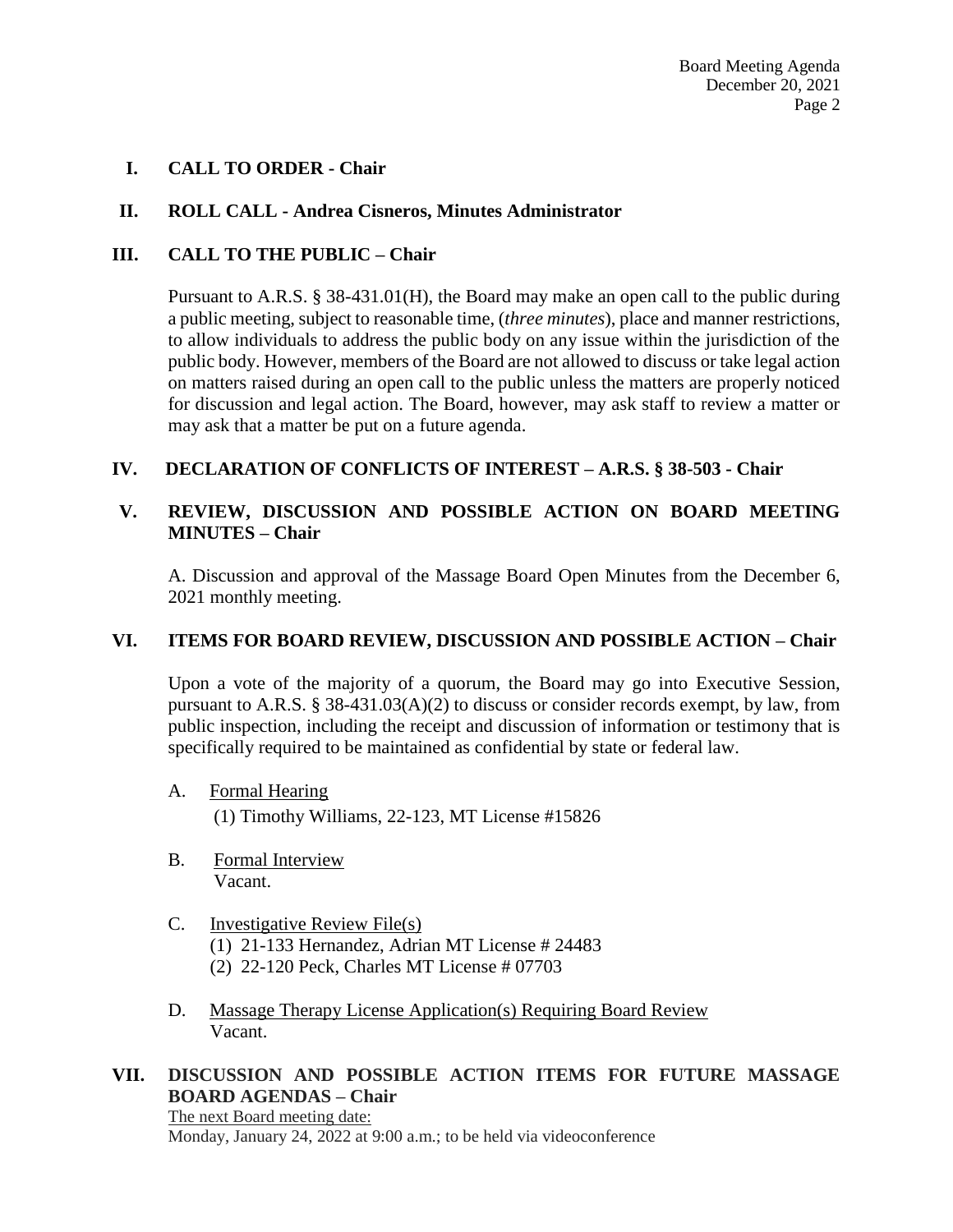#### **I. CALL TO ORDER - Chair**

#### **II. ROLL CALL - Andrea Cisneros, Minutes Administrator**

#### **III. CALL TO THE PUBLIC – Chair**

Pursuant to A.R.S. § 38-431.01(H), the Board may make an open call to the public during a public meeting, subject to reasonable time, (*three minutes*), place and manner restrictions, to allow individuals to address the public body on any issue within the jurisdiction of the public body. However, members of the Board are not allowed to discuss or take legal action on matters raised during an open call to the public unless the matters are properly noticed for discussion and legal action. The Board, however, may ask staff to review a matter or may ask that a matter be put on a future agenda.

#### **IV. DECLARATION OF CONFLICTS OF INTEREST – A.R.S. § 38-503 - Chair**

#### **V. REVIEW, DISCUSSION AND POSSIBLE ACTION ON BOARD MEETING MINUTES – Chair**

A. Discussion and approval of the Massage Board Open Minutes from the December 6, 2021 monthly meeting.

#### **VI. ITEMS FOR BOARD REVIEW, DISCUSSION AND POSSIBLE ACTION – Chair**

Upon a vote of the majority of a quorum, the Board may go into Executive Session, pursuant to A.R.S. § 38-431.03(A)(2) to discuss or consider records exempt, by law, from public inspection, including the receipt and discussion of information or testimony that is specifically required to be maintained as confidential by state or federal law.

- A. Formal Hearing (1) Timothy Williams, 22-123, MT License #15826
- B. Formal Interview Vacant.
- C. Investigative Review File(s) (1) 21-133 Hernandez, Adrian MT License # 24483 (2) 22-120 Peck, Charles MT License # 07703
- D. Massage Therapy License Application(s) Requiring Board Review Vacant.

#### **VII. DISCUSSION AND POSSIBLE ACTION ITEMS FOR FUTURE MASSAGE BOARD AGENDAS – Chair**

The next Board meeting date: Monday, January 24, 2022 at 9:00 a.m.; to be held via videoconference